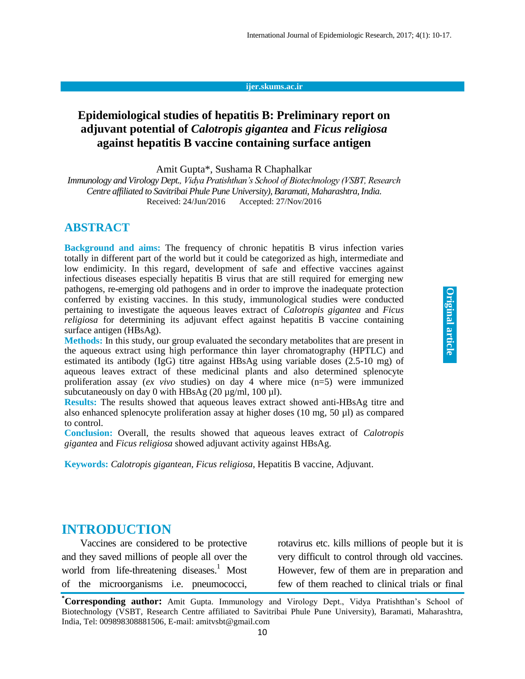#### **ijer.skums.ac.ir**

### **Epidemiological studies of hepatitis B: Preliminary report on adjuvant potential of** *Calotropis gigantea* **and** *Ficus religiosa*  **against hepatitis B vaccine containing surface antigen**

Amit Gupta\*, Sushama R Chaphalkar

*Immunology and Virology Dept., Vidya Pratishthan's School of Biotechnology (VSBT, Research Centre affiliated to Savitribai Phule Pune University), Baramati, Maharashtra, India.* Received: 24/Jun/2016 Accepted: 27/Nov/2016

### **ABSTRACT**

**Background and aims:** The frequency of chronic hepatitis B virus infection varies totally in different part of the world but it could be categorized as high, intermediate and low endimicity. In this regard, development of safe and effective vaccines against infectious diseases especially hepatitis  $\overline{B}$  virus that are still required for emerging new pathogens, re-emerging old pathogens and in order to improve the inadequate protection conferred by existing vaccines. In this study, immunological studies were conducted pertaining to investigate the aqueous leaves extract of *Calotropis gigantea* and *Ficus religiosa* for determining its adjuvant effect against hepatitis B vaccine containing surface antigen (HBsAg).

**Methods:** In this study, our group evaluated the secondary metabolites that are present in the aqueous extract using high performance thin layer chromatography (HPTLC) and estimated its antibody (IgG) titre against HBsAg using variable doses  $(2.5-10 \text{ mg})$  of aqueous leaves extract of these medicinal plants and also determined splenocyte proliferation assay (*ex vivo* studies) on day 4 where mice (n=5) were immunized subcutaneously on day 0 with HBsAg  $(20 \mu g/ml, 100 \mu l)$ .

**Results:** The results showed that aqueous leaves extract showed anti-HBsAg titre and also enhanced splenocyte proliferation assay at higher doses (10 mg, 50 µl) as compared to control.

**Conclusion:** Overall, the results showed that aqueous leaves extract of *Calotropis gigantea* and *Ficus religiosa* showed adjuvant activity against HBsAg.

**Keywords:** *Calotropis gigantean, Ficus religiosa*, Hepatitis B vaccine, Adjuvant.

### **INTRODUCTION**

Vaccines are considered to be protective and they saved millions of people all over the world from life-threatening diseases. <sup>1</sup> Most of the microorganisms i.e. pneumococci,

rotavirus etc. kills millions of people but it is very difficult to control through old vaccines. However, few of them are in preparation and few of them reached to clinical trials or final

**<sup>\*</sup>Corresponding author:** Amit Gupta. Immunology and Virology Dept., Vidya Pratishthan's School of Biotechnology (VSBT, Research Centre affiliated to Savitribai Phule Pune University), Baramati, Maharashtra, India, Tel: 009898308881506, E-mail: amitvsbt@gmail.com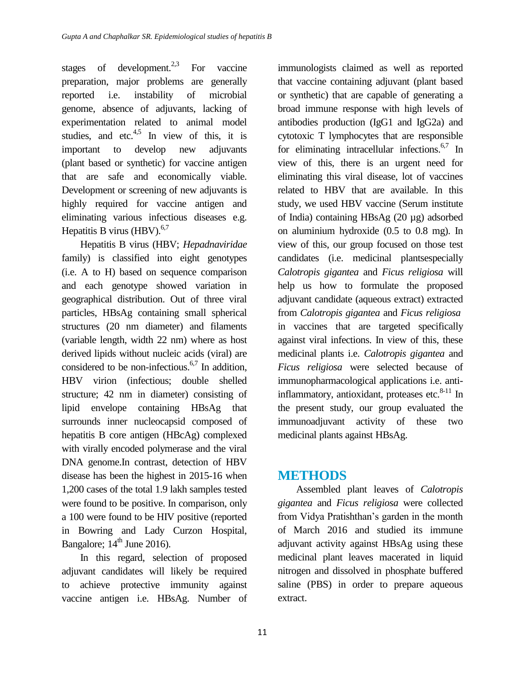stages of development.<sup>2,3</sup> For vaccine preparation, major problems are generally reported i.e. instability of microbial genome, absence of adjuvants, lacking of experimentation related to animal model studies, and etc.<sup>4,5</sup> In view of this, it is important to develop new adjuvants (plant based or synthetic) for vaccine antigen that are safe and economically viable. Development or screening of new adjuvants is highly required for vaccine antigen and eliminating various infectious diseases e.g. Hepatitis B virus (HBV). $6,7$ 

Hepatitis B virus (HBV; *Hepadnaviridae* family) is classified into eight genotypes (i.e. A to H) based on sequence comparison and each genotype showed variation in geographical distribution. Out of three viral particles, HBsAg containing small spherical structures (20 nm diameter) and filaments (variable length, width 22 nm) where as host derived lipids without nucleic acids (viral) are considered to be non-infectious. $6,7$  In addition, HBV virion (infectious; double shelled structure; 42 nm in diameter) consisting of lipid envelope containing HBsAg that surrounds inner nucleocapsid composed of hepatitis B core antigen (HBcAg) complexed with virally encoded polymerase and the viral DNA genome.In contrast, detection of HBV disease has been the highest in 2015-16 when 1,200 cases of the total 1.9 lakh samples tested were found to be positive. In comparison, only a 100 were found to be HIV positive (reported in Bowring and Lady Curzon Hospital, Bangalore;  $14<sup>th</sup>$  June 2016).

In this regard, selection of proposed adjuvant candidates will likely be required to achieve protective immunity against vaccine antigen i.e. HBsAg. Number of

immunologists claimed as well as reported that vaccine containing adjuvant (plant based or synthetic) that are capable of generating a broad immune response with high levels of antibodies production (IgG1 and IgG2a) and cytotoxic T lymphocytes that are responsible for eliminating intracellular infections. 6,7 In view of this, there is an urgent need for eliminating this viral disease, lot of vaccines related to HBV that are available. In this study, we used HBV vaccine (Serum institute of India) containing HBsAg (20 µg) adsorbed on aluminium hydroxide (0.5 to 0.8 mg). In view of this, our group focused on those test candidates (i.e. medicinal plantsespecially *Calotropis gigantea* and *Ficus religiosa* will help us how to formulate the proposed adjuvant candidate (aqueous extract) extracted from *Calotropis gigantea* and *Ficus religiosa* in vaccines that are targeted specifically against viral infections. In view of this, these medicinal plants i.e. *Calotropis gigantea* and *Ficus religiosa* were selected because of immunopharmacological applications i.e. antiinflammatory, antioxidant, proteases etc. $8-11$  In the present study, our group evaluated the immunoadjuvant activity of these two medicinal plants against HBsAg.

## **METHODS**

Assembled plant leaves of *Calotropis gigantea* and *Ficus religiosa* were collected from Vidya Pratishthan's garden in the month of March 2016 and studied its immune adjuvant activity against HBsAg using these medicinal plant leaves macerated in liquid nitrogen and dissolved in phosphate buffered saline (PBS) in order to prepare aqueous extract.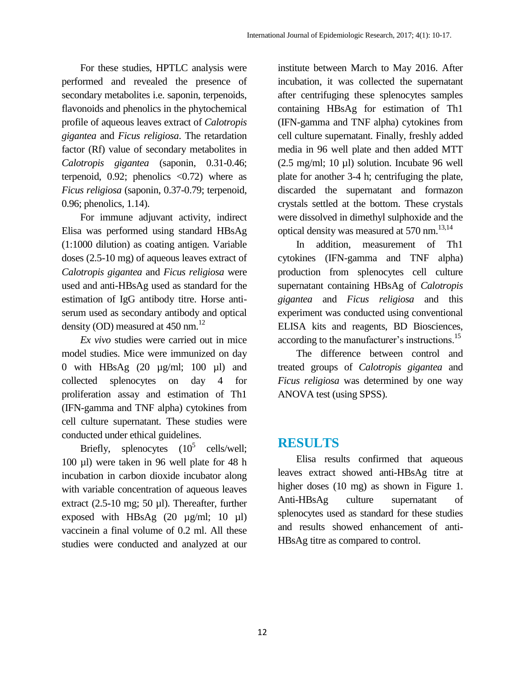For these studies, HPTLC analysis were performed and revealed the presence of secondary metabolites i.e. saponin, terpenoids, flavonoids and phenolics in the phytochemical profile of aqueous leaves extract of *Calotropis gigantea* and *Ficus religiosa*. The retardation factor (Rf) value of secondary metabolites in *Calotropis gigantea* (saponin, 0.31-0.46; terpenoid, 0.92; phenolics  $\langle 0.72 \rangle$  where as *Ficus religiosa* (saponin, 0.37-0.79; terpenoid, 0.96; phenolics, 1.14).

For immune adjuvant activity, indirect Elisa was performed using standard HBsAg (1:1000 dilution) as coating antigen. Variable doses (2.5-10 mg) of aqueous leaves extract of *Calotropis gigantea* and *Ficus religiosa* were used and anti-HBsAg used as standard for the estimation of IgG antibody titre. Horse antiserum used as secondary antibody and optical density (OD) measured at 450 nm.<sup>12</sup>

*Ex vivo* studies were carried out in mice model studies. Mice were immunized on day 0 with HBsAg (20 µg/ml; 100 µl) and collected splenocytes on day 4 for proliferation assay and estimation of Th1 (IFN-gamma and TNF alpha) cytokines from cell culture supernatant. These studies were conducted under ethical guidelines.

Briefly, splenocytes  $(10^5 \text{ cells/well};$ 100 µl) were taken in 96 well plate for 48 h incubation in carbon dioxide incubator along with variable concentration of aqueous leaves extract (2.5-10 mg; 50 µl). Thereafter, further exposed with HBsAg  $(20 \text{ µg/ml}; 10 \text{ µl})$ vaccinein a final volume of 0.2 ml. All these studies were conducted and analyzed at our

institute between March to May 2016. After incubation, it was collected the supernatant after centrifuging these splenocytes samples containing HBsAg for estimation of Th1 (IFN-gamma and TNF alpha) cytokines from cell culture supernatant. Finally, freshly added media in 96 well plate and then added MTT (2.5 mg/ml; 10 µl) solution. Incubate 96 well plate for another 3-4 h; centrifuging the plate, discarded the supernatant and formazon crystals settled at the bottom. These crystals were dissolved in dimethyl sulphoxide and the optical density was measured at 570 nm. 13,14

In addition, measurement of Th1 cytokines (IFN-gamma and TNF alpha) production from splenocytes cell culture supernatant containing HBsAg of *Calotropis gigantea* and *Ficus religiosa* and this experiment was conducted using conventional ELISA kits and reagents, BD Biosciences, according to the manufacturer's instructions.<sup>15</sup>

The difference between control and treated groups of *Calotropis gigantea* and *Ficus religiosa* was determined by one way ANOVA test (using SPSS).

### **RESULTS**

Elisa results confirmed that aqueous leaves extract showed anti-HBsAg titre at higher doses (10 mg) as shown in Figure 1. Anti-HBsAg culture supernatant of splenocytes used as standard for these studies and results showed enhancement of anti-HBsAg titre as compared to control.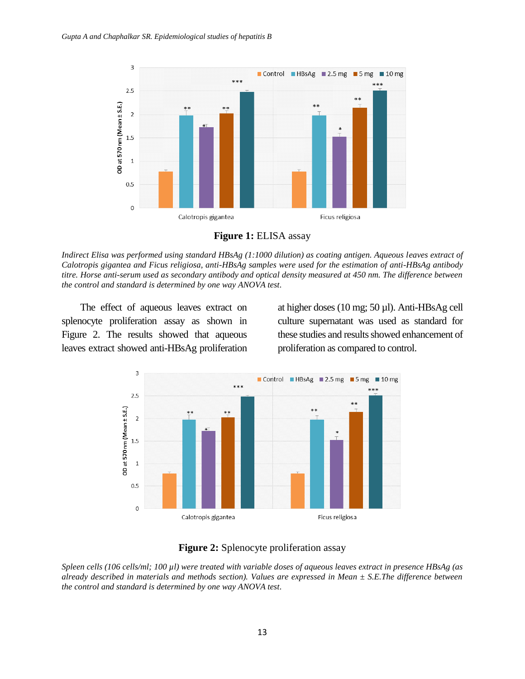

**Figure 1:** ELISA assay

*Indirect Elisa was performed using standard HBsAg (1:1000 dilution) as coating antigen. Aqueous leaves extract of Calotropis gigantea and Ficus religiosa, anti-HBsAg samples were used for the estimation of anti-HBsAg antibody titre. Horse anti-serum used as secondary antibody and optical density measured at 450 nm. The difference between the control and standard is determined by one way ANOVA test.*

The effect of aqueous leaves extract on splenocyte proliferation assay as shown in Figure 2. The results showed that aqueous leaves extract showed anti-HBsAg proliferation at higher doses (10 mg; 50 µl). Anti-HBsAg cell culture supernatant was used as standard for these studies and results showed enhancement of proliferation as compared to control.



#### **Figure 2:** Splenocyte proliferation assay

*Spleen cells (106 cells/ml; 100 µl) were treated with variable doses of aqueous leaves extract in presence HBsAg (as already described in materials and methods section). Values are expressed in Mean ± S.E.The difference between the control and standard is determined by one way ANOVA test.*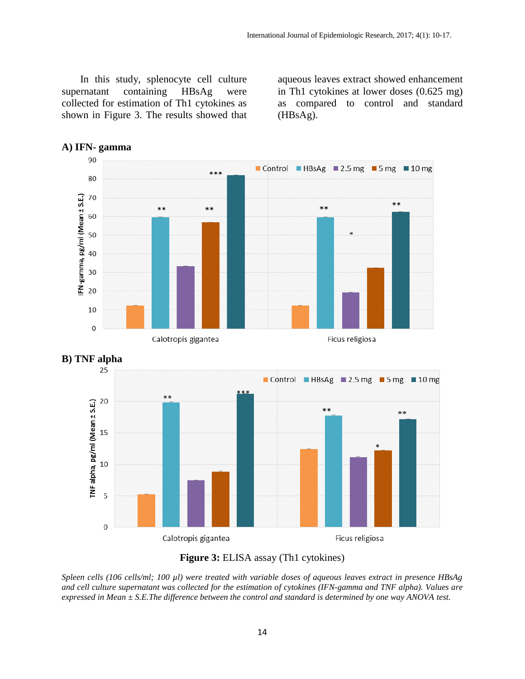In this study, splenocyte cell culture supernatant containing HBsAg were collected for estimation of Th1 cytokines as shown in Figure 3. The results showed that aqueous leaves extract showed enhancement in Th1 cytokines at lower doses (0.625 mg) as compared to control and standard (HBsAg).





*Spleen cells (106 cells/ml; 100 µl) were treated with variable doses of aqueous leaves extract in presence HBsAg and cell culture supernatant was collected for the estimation of cytokines (IFN-gamma and TNF alpha). Values are expressed in Mean ± S.E.The difference between the control and standard is determined by one way ANOVA test.*

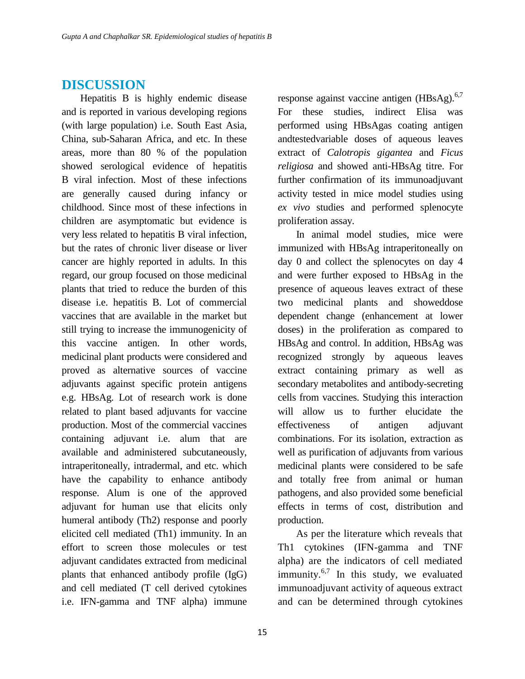### **DISCUSSION**

Hepatitis B is highly endemic disease and is reported in various developing regions (with large population) i.e. South East Asia, China, sub-Saharan Africa, and etc. In these areas, more than 80 % of the population showed serological evidence of hepatitis B viral infection. Most of these infections are generally caused during infancy or childhood. Since most of these infections in children are asymptomatic but evidence is very less related to hepatitis B viral infection, but the rates of chronic liver disease or liver cancer are highly reported in adults. In this regard, our group focused on those medicinal plants that tried to reduce the burden of this disease i.e. hepatitis B. Lot of commercial vaccines that are available in the market but still trying to increase the immunogenicity of this vaccine antigen. In other words, medicinal plant products were considered and proved as alternative sources of vaccine adjuvants against specific protein antigens e.g. HBsAg. Lot of research work is done related to plant based adjuvants for vaccine production. Most of the commercial vaccines containing adjuvant i.e. alum that are available and administered subcutaneously, intraperitoneally, intradermal, and etc. which have the capability to enhance antibody response. Alum is one of the approved adjuvant for human use that elicits only humeral antibody (Th2) response and poorly elicited cell mediated (Th1) immunity. In an effort to screen those molecules or test adjuvant candidates extracted from medicinal plants that enhanced antibody profile (IgG) and cell mediated (T cell derived cytokines i.e. IFN-gamma and TNF alpha) immune

response against vaccine antigen  $(HBsAg)$ .<sup>6,7</sup> For these studies, indirect Elisa was performed using HBsAgas coating antigen andtestedvariable doses of aqueous leaves extract of *Calotropis gigantea* and *Ficus religiosa* and showed anti-HBsAg titre. For further confirmation of its immunoadjuvant activity tested in mice model studies using *ex vivo* studies and performed splenocyte proliferation assay.

In animal model studies, mice were immunized with HBsAg intraperitoneally on day 0 and collect the splenocytes on day 4 and were further exposed to HBsAg in the presence of aqueous leaves extract of these two medicinal plants and showeddose dependent change (enhancement at lower doses) in the proliferation as compared to HBsAg and control. In addition, HBsAg was recognized strongly by aqueous leaves extract containing primary as well as secondary metabolites and antibody-secreting cells from vaccines. Studying this interaction will allow us to further elucidate the effectiveness of antigen adjuvant combinations. For its isolation, extraction as well as purification of adjuvants from various medicinal plants were considered to be safe and totally free from animal or human pathogens, and also provided some beneficial effects in terms of cost, distribution and production.

As per the literature which reveals that Th1 cytokines (IFN-gamma and TNF alpha) are the indicators of cell mediated immunity.<sup>6,7</sup> In this study, we evaluated immunoadjuvant activity of aqueous extract and can be determined through cytokines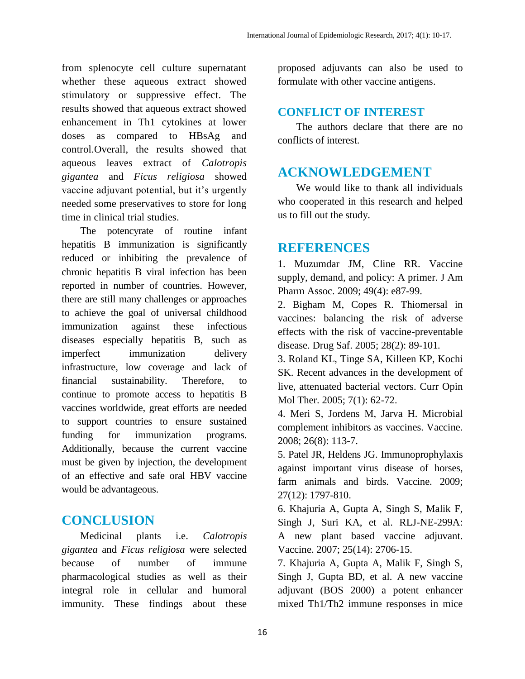from splenocyte cell culture supernatant whether these aqueous extract showed stimulatory or suppressive effect. The results showed that aqueous extract showed enhancement in Th1 cytokines at lower doses as compared to HBsAg and control.Overall, the results showed that aqueous leaves extract of *Calotropis gigantea* and *Ficus religiosa* showed vaccine adjuvant potential, but it's urgently needed some preservatives to store for long time in clinical trial studies.

The potencyrate of routine infant hepatitis B immunization is significantly reduced or inhibiting the prevalence of chronic hepatitis B viral infection has been reported in number of countries. However, there are still many challenges or approaches to achieve the goal of universal childhood immunization against these infectious diseases especially hepatitis B, such as imperfect immunization delivery infrastructure, low coverage and lack of financial sustainability. Therefore, to continue to promote access to hepatitis B vaccines worldwide, great efforts are needed to support countries to ensure sustained funding for immunization programs. Additionally, because the current vaccine must be given by injection, the development of an effective and safe oral HBV vaccine would be advantageous.

## **CONCLUSION**

Medicinal plants i.e. *Calotropis gigantea* and *Ficus religiosa* were selected because of number of immune pharmacological studies as well as their integral role in cellular and humoral immunity. These findings about these proposed adjuvants can also be used to formulate with other vaccine antigens.

### **CONFLICT OF INTEREST**

The authors declare that there are no conflicts of interest.

# **ACKNOWLEDGEMENT**

We would like to thank all individuals who cooperated in this research and helped us to fill out the study.

## **REFERENCES**

1. Muzumdar JM, Cline RR. Vaccine supply, demand, and policy: A primer. J Am Pharm Assoc. 2009; 49(4): e87-99.

2. Bigham M, Copes R. Thiomersal in vaccines: balancing the risk of adverse effects with the risk of vaccine-preventable disease. Drug Saf. 2005; 28(2): 89-101*.*

3. Roland KL, Tinge SA, Killeen KP, Kochi SK. Recent advances in the development of live, attenuated bacterial vectors. Curr Opin Mol Ther. 2005; 7(1): 62-72.

4. Meri S, Jordens M, Jarva H. Microbial complement inhibitors as vaccines. Vaccine. 2008; 26(8): 113-7.

5. Patel JR, Heldens JG. Immunoprophylaxis against important virus disease of horses, farm animals and birds. Vaccine. 2009; 27(12): 1797-810.

6. Khajuria A, Gupta A, Singh S, Malik F, Singh J, Suri KA, et al. RLJ-NE-299A: A new plant based vaccine adjuvant. Vaccine. 2007; 25(14): 2706-15.

7. Khajuria A, Gupta A, Malik F, Singh S, Singh J, Gupta BD, et al. A new vaccine adjuvant (BOS 2000) a potent enhancer mixed Th1/Th2 immune responses in mice